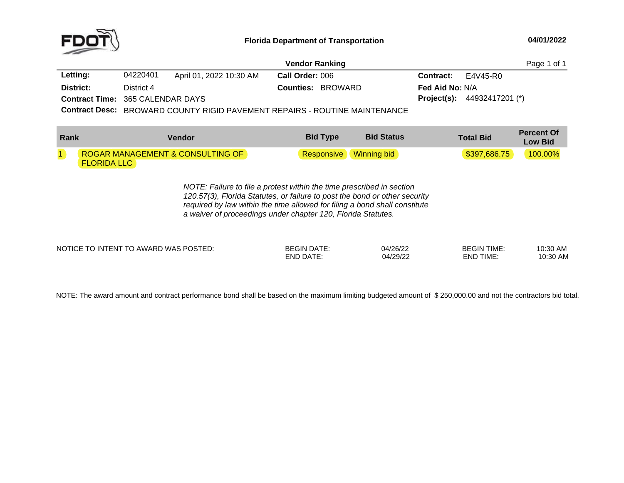

|                                         |            | Page 1 of 1             |                                                                                   |                        |                                      |  |
|-----------------------------------------|------------|-------------------------|-----------------------------------------------------------------------------------|------------------------|--------------------------------------|--|
| Letting:                                | 04220401   | April 01, 2022 10:30 AM | Call Order: 006                                                                   | <b>Contract:</b>       | E4V45-R0                             |  |
| District:                               | District 4 |                         | <b>Counties: BROWARD</b>                                                          | <b>Fed Aid No: N/A</b> |                                      |  |
| <b>Contract Time: 365 CALENDAR DAYS</b> |            |                         |                                                                                   |                        | <b>Project(s):</b> $44932417201$ (*) |  |
|                                         |            |                         | <b>Contract Desc:</b> BROWARD COUNTY RIGID PAVEMENT REPAIRS - ROUTINE MAINTENANCE |                        |                                      |  |

**Percent Of LowBid** Type **Bid** Status **Total Bid** Telesin Cowservation **Contract Community Contract Community** Community Community Community Community Community Community Community Community Community Community Community Community Com 11 ROGAR MANAGEMENT & CONSULTING OF FLORIDA LLCResponsive Winning bid **100.00%** \$397,686.75 <mark>100.00%</mark>

> *NOTE: Failure to file <sup>a</sup> protest within the time prescribed in section 120.57(3), Florida Statutes, or failure to post the bond or other security required by law within the time allowed for filing <sup>a</sup> bond shall constitute a waiver of proceedings under chapter 120, Florida Statutes.*

| ጋ AWARD WAS POSTED:<br><b>NOTIC</b><br>) INTENT | GIN DATF            | 04/26/22                                      | <b>BEGIN TIME:</b> | 10:30 AM |
|-------------------------------------------------|---------------------|-----------------------------------------------|--------------------|----------|
|                                                 | END<br>$\mathbf{1}$ | 1100/22<br>$\overline{\phantom{a}}$<br>129122 | TIME.<br>-NF       | 10:30 AM |

NOTE: The award amount and contract performance bond shall be based on the maximum limiting budgeted amount of \$ 250,000.00 and not the contractors bid total.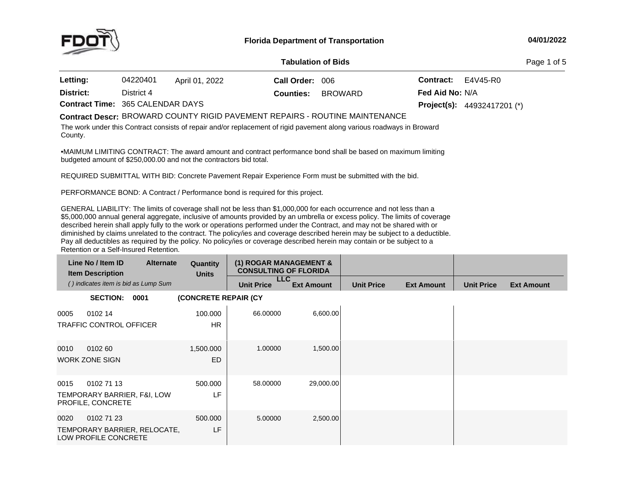

#### **04/01/2022**

| --                               |                           |                |                  |         |                           |                                      |  |  |
|----------------------------------|---------------------------|----------------|------------------|---------|---------------------------|--------------------------------------|--|--|
|                                  | <b>Tabulation of Bids</b> |                |                  |         |                           |                                      |  |  |
| Letting:                         | 04220401                  | April 01, 2022 | Call Order: 006  |         | <b>Contract:</b> E4V45-R0 |                                      |  |  |
| District:                        | District 4                |                | <b>Counties:</b> | BROWARD | Fed Aid No: N/A           |                                      |  |  |
| Contract Time: 365 CALENDAR DAYS |                           |                |                  |         |                           | <b>Project(s):</b> $44932417201$ (*) |  |  |

# BROWARD COUNTY RIGID PAVEMENT REPAIRS - ROUTINE MAINTENANCE **Contract Descr:**

The work under this Contract consists of repair and/or replacement of rigid pavement along various roadways in Broward County.

•MAIMUM LIMITING CONTRACT: The award amount and contract performance bond shall be based on maximum limiting budgeted amount of \$250,000.00 and not the contractors bid total.

REQUIRED SUBMITTAL WITH BID: Concrete Pavement Repair Experience Form must be submitted with the bid.

PERFORMANCE BOND: <sup>A</sup> Contract / Performance bond is required for this project.

GENERAL LIABILITY: The limits of coverage shall not be less than \$1,000,000 for each occurrence and not less than a<br>An access to all that \$5,000,000 annual general aggregate, inclusive of amounts provided by an umbrella or excess policy. The limits of coverage described herein shall apply fully to the work or operations performed under the Contract, and may not be shared with or diminished by claims unrelated to the contract. The policy/ies and coverage described herein may be subject to <sup>a</sup> deductible. Pay all deductibles as required by the policy. No policy/ies or coverage described herein may contain or be subject to <sup>a</sup> Retention or <sup>a</sup> Self-Insured Retention.

|      | Line No / Item ID<br><b>Item Description</b>                   | <b>Alternate</b>             | Quantity<br><b>Units</b> | (1) ROGAR MANAGEMENT &<br><b>CONSULTING OF FLORIDA</b> |                   |                   |                   |                   |                   |
|------|----------------------------------------------------------------|------------------------------|--------------------------|--------------------------------------------------------|-------------------|-------------------|-------------------|-------------------|-------------------|
|      | () indicates item is bid as Lump Sum                           |                              |                          | <b>LLC</b><br><b>Unit Price</b>                        | <b>Ext Amount</b> | <b>Unit Price</b> | <b>Ext Amount</b> | <b>Unit Price</b> | <b>Ext Amount</b> |
|      | <b>SECTION:</b>                                                | 0001                         | (CONCRETE REPAIR (CY     |                                                        |                   |                   |                   |                   |                   |
| 0005 | 0102 14<br><b>TRAFFIC CONTROL OFFICER</b>                      |                              | 100.000<br><b>HR</b>     | 66.00000                                               | 6,600.00          |                   |                   |                   |                   |
| 0010 | 0102 60<br><b>WORK ZONE SIGN</b>                               |                              | 1,500.000<br><b>ED</b>   | 1.00000                                                | 1,500.00          |                   |                   |                   |                   |
| 0015 | 0102 71 13<br>TEMPORARY BARRIER, F&I, LOW<br>PROFILE, CONCRETE |                              | 500.000<br>LF            | 58,00000                                               | 29,000.00         |                   |                   |                   |                   |
| 0020 | 0102 71 23<br>LOW PROFILE CONCRETE                             | TEMPORARY BARRIER, RELOCATE, | 500.000<br>LF            | 5.00000                                                | 2,500.00          |                   |                   |                   |                   |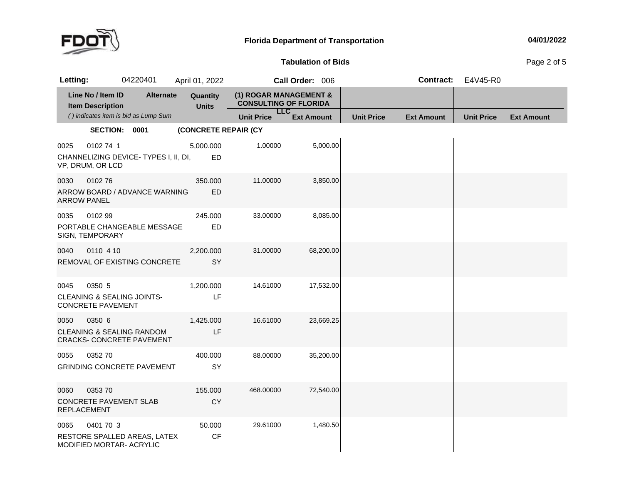

## **Tabulation**

Page 2 of 5

| Letting:                   |                                              | 04220401                                                                 | April 01, 2022           |                                                        | Call Order: 006   |                   | <b>Contract:</b>  | E4V45-R0          |                   |
|----------------------------|----------------------------------------------|--------------------------------------------------------------------------|--------------------------|--------------------------------------------------------|-------------------|-------------------|-------------------|-------------------|-------------------|
|                            | Line No / Item ID<br><b>Item Description</b> | <b>Alternate</b>                                                         | Quantity<br><b>Units</b> | (1) ROGAR MANAGEMENT &<br><b>CONSULTING OF FLORIDA</b> |                   |                   |                   |                   |                   |
|                            |                                              | () indicates item is bid as Lump Sum                                     |                          | <b>LLC</b><br><b>Unit Price</b>                        | <b>Ext Amount</b> | <b>Unit Price</b> | <b>Ext Amount</b> | <b>Unit Price</b> | <b>Ext Amount</b> |
|                            | SECTION: 0001                                |                                                                          | (CONCRETE REPAIR (CY     |                                                        |                   |                   |                   |                   |                   |
| 0025                       | 0102 74 1<br>VP, DRUM, OR LCD                | CHANNELIZING DEVICE-TYPES I, II, DI,                                     | 5,000.000<br>ED          | 1.00000                                                | 5,000.00          |                   |                   |                   |                   |
| 0030<br><b>ARROW PANEL</b> | 010276                                       | ARROW BOARD / ADVANCE WARNING                                            | 350.000<br><b>ED</b>     | 11.00000                                               | 3,850.00          |                   |                   |                   |                   |
| 0035                       | 0102 99<br>SIGN, TEMPORARY                   | PORTABLE CHANGEABLE MESSAGE                                              | 245.000<br><b>ED</b>     | 33.00000                                               | 8,085.00          |                   |                   |                   |                   |
| 0040                       | 0110 4 10                                    | REMOVAL OF EXISTING CONCRETE                                             | 2,200.000<br>SY          | 31.00000                                               | 68,200.00         |                   |                   |                   |                   |
| 0045                       | 0350 5<br><b>CONCRETE PAVEMENT</b>           | <b>CLEANING &amp; SEALING JOINTS-</b>                                    | 1,200.000<br>LF          | 14.61000                                               | 17,532.00         |                   |                   |                   |                   |
| 0050                       | 0350 6                                       | <b>CLEANING &amp; SEALING RANDOM</b><br><b>CRACKS- CONCRETE PAVEMENT</b> | 1,425.000<br>LF          | 16.61000                                               | 23,669.25         |                   |                   |                   |                   |
| 0055                       | 0352 70                                      | <b>GRINDING CONCRETE PAVEMENT</b>                                        | 400.000<br>SY            | 88.00000                                               | 35,200.00         |                   |                   |                   |                   |
| 0060<br><b>REPLACEMENT</b> | 0353 70                                      | CONCRETE PAVEMENT SLAB                                                   | 155.000<br><b>CY</b>     | 468.00000                                              | 72,540.00         |                   |                   |                   |                   |
| 0065                       | 0401 70 3                                    | RESTORE SPALLED AREAS, LATEX<br>MODIFIED MORTAR- ACRYLIC                 | 50.000<br><b>CF</b>      | 29.61000                                               | 1,480.50          |                   |                   |                   |                   |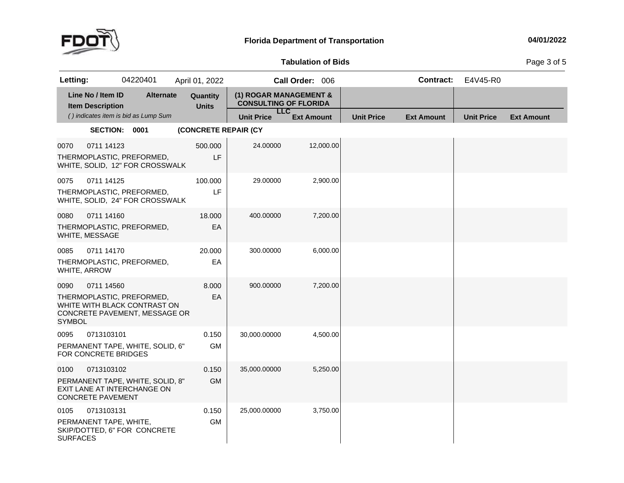

## **Tabulation**

Page 3 of 5

| Letting:                |                                              | 04220401                                                                                   | April 01, 2022           |                                                        | Call Order: 006   |                   | <b>Contract:</b>  | E4V45-R0          |                   |
|-------------------------|----------------------------------------------|--------------------------------------------------------------------------------------------|--------------------------|--------------------------------------------------------|-------------------|-------------------|-------------------|-------------------|-------------------|
|                         | Line No / Item ID<br><b>Item Description</b> | <b>Alternate</b>                                                                           | Quantity<br><b>Units</b> | (1) ROGAR MANAGEMENT &<br><b>CONSULTING OF FLORIDA</b> |                   |                   |                   |                   |                   |
|                         |                                              | () indicates item is bid as Lump Sum                                                       |                          | <b>LLC</b><br><b>Unit Price</b>                        | <b>Ext Amount</b> | <b>Unit Price</b> | <b>Ext Amount</b> | <b>Unit Price</b> | <b>Ext Amount</b> |
|                         | SECTION: 0001                                |                                                                                            | (CONCRETE REPAIR (CY     |                                                        |                   |                   |                   |                   |                   |
| 0070                    | 0711 14123                                   | THERMOPLASTIC, PREFORMED,<br>WHITE, SOLID, 12" FOR CROSSWALK                               | 500.000<br>LF            | 24.00000                                               | 12,000.00         |                   |                   |                   |                   |
| 0075                    | 0711 14125                                   | THERMOPLASTIC, PREFORMED,<br>WHITE, SOLID, 24" FOR CROSSWALK                               | 100.000<br>LF            | 29.00000                                               | 2,900.00          |                   |                   |                   |                   |
| 0080                    | 0711 14160<br>WHITE, MESSAGE                 | THERMOPLASTIC, PREFORMED,                                                                  | 18.000<br>EA             | 400.00000                                              | 7,200.00          |                   |                   |                   |                   |
| 0085<br>WHITE, ARROW    | 0711 14170                                   | THERMOPLASTIC, PREFORMED,                                                                  | 20.000<br>EA             | 300.00000                                              | 6,000.00          |                   |                   |                   |                   |
| 0090<br><b>SYMBOL</b>   | 0711 14560                                   | THERMOPLASTIC, PREFORMED,<br>WHITE WITH BLACK CONTRAST ON<br>CONCRETE PAVEMENT, MESSAGE OR | 8.000<br>EA              | 900.00000                                              | 7,200.00          |                   |                   |                   |                   |
| 0095                    | 0713103101<br>FOR CONCRETE BRIDGES           | PERMANENT TAPE, WHITE, SOLID, 6"                                                           | 0.150<br><b>GM</b>       | 30,000.00000                                           | 4,500.00          |                   |                   |                   |                   |
| 0100                    | 0713103102<br><b>CONCRETE PAVEMENT</b>       | PERMANENT TAPE, WHITE, SOLID, 8"<br>EXIT LANE AT INTERCHANGE ON                            | 0.150<br><b>GM</b>       | 35.000.00000                                           | 5,250.00          |                   |                   |                   |                   |
| 0105<br><b>SURFACES</b> | 0713103131<br>PERMANENT TAPE, WHITE,         | SKIP/DOTTED, 6" FOR CONCRETE                                                               | 0.150<br><b>GM</b>       | 25,000.00000                                           | 3,750.00          |                   |                   |                   |                   |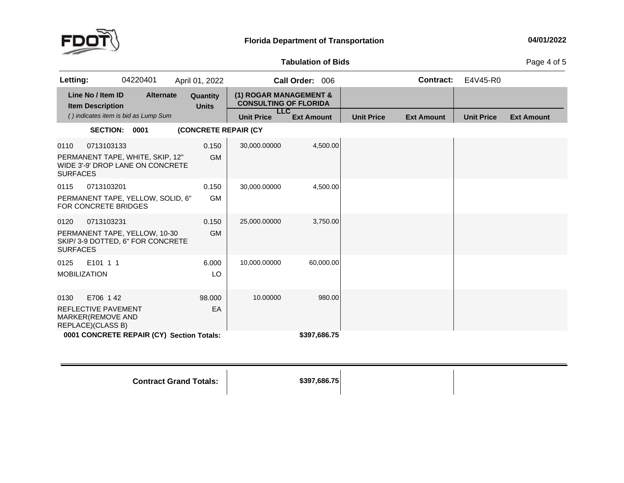

## **Tabulation**

Page 4 of 5

| Letting:                    |                                                                           | 04220401                                                             | April 01, 2022                            |                                                                      | Call Order: 006   |                   | Contract:         | E4V45-R0          |                   |
|-----------------------------|---------------------------------------------------------------------------|----------------------------------------------------------------------|-------------------------------------------|----------------------------------------------------------------------|-------------------|-------------------|-------------------|-------------------|-------------------|
|                             | Line No / Item ID<br><b>Item Description</b>                              | <b>Alternate</b>                                                     | Quantity<br><b>Units</b>                  | (1) ROGAR MANAGEMENT &<br><b>CONSULTING OF FLORIDA</b><br><b>LLC</b> |                   |                   |                   |                   |                   |
|                             |                                                                           | () indicates item is bid as Lump Sum                                 |                                           | <b>Unit Price</b>                                                    | <b>Ext Amount</b> | <b>Unit Price</b> | <b>Ext Amount</b> | <b>Unit Price</b> | <b>Ext Amount</b> |
|                             | SECTION: 0001                                                             |                                                                      | (CONCRETE REPAIR (CY                      |                                                                      |                   |                   |                   |                   |                   |
| 0110<br><b>SURFACES</b>     | 0713103133                                                                | PERMANENT TAPE, WHITE, SKIP, 12"<br>WIDE 3'-9' DROP LANE ON CONCRETE | 0.150<br><b>GM</b>                        | 30,000.00000                                                         | 4,500.00          |                   |                   |                   |                   |
| 0115                        | 0713103201<br><b>FOR CONCRETE BRIDGES</b>                                 | PERMANENT TAPE, YELLOW, SOLID, 6"                                    | 0.150<br><b>GM</b>                        | 30,000.00000                                                         | 4,500.00          |                   |                   |                   |                   |
| 0120<br><b>SURFACES</b>     | 0713103231                                                                | PERMANENT TAPE, YELLOW, 10-30<br>SKIP/3-9 DOTTED, 6" FOR CONCRETE    | 0.150<br><b>GM</b>                        | 25,000.00000                                                         | 3,750.00          |                   |                   |                   |                   |
| 0125<br><b>MOBILIZATION</b> | E101 1 1                                                                  |                                                                      | 6.000<br>LO                               | 10,000.00000                                                         | 60,000.00         |                   |                   |                   |                   |
| 0130                        | E706 142<br>REFLECTIVE PAVEMENT<br>MARKER(REMOVE AND<br>REPLACE)(CLASS B) |                                                                      | 98.000<br>EA                              | 10.00000                                                             | 980.00            |                   |                   |                   |                   |
|                             |                                                                           |                                                                      | 0001 CONCRETE REPAIR (CY) Section Totals: |                                                                      | \$397,686.75      |                   |                   |                   |                   |

**Contract Grand**

**Totals: \$397,686.75**